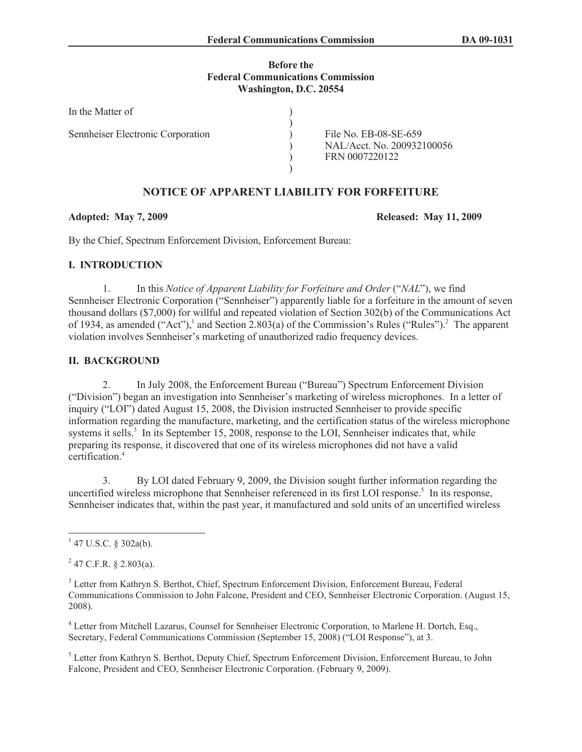#### **Before the Federal Communications Commission Washington, D.C. 20554**

| In the Matter of                  |                                                                       |
|-----------------------------------|-----------------------------------------------------------------------|
| Sennheiser Electronic Corporation | File No. EB-08-SE-659<br>NAL/Acct. No. 200932100056<br>FRN 0007220122 |

# **NOTICE OF APPARENT LIABILITY FOR FORFEITURE**

**Adopted: May 7, 2009 Released: May 11, 2009**

By the Chief, Spectrum Enforcement Division, Enforcement Bureau:

## **I. INTRODUCTION**

1. In this *Notice of Apparent Liability for Forfeiture and Order* ("*NAL*"), we find Sennheiser Electronic Corporation ("Sennheiser") apparently liable for a forfeiture in the amount of seven thousand dollars (\$7,000) for willful and repeated violation of Section 302(b) of the Communications Act of 1934, as amended ("Act"),<sup>1</sup> and Section 2.803(a) of the Commission's Rules ("Rules").<sup>2</sup> The apparent violation involves Sennheiser's marketing of unauthorized radio frequency devices.

## **II. BACKGROUND**

2. In July 2008, the Enforcement Bureau ("Bureau") Spectrum Enforcement Division ("Division") began an investigation into Sennheiser's marketing of wireless microphones. In a letter of inquiry ("LOI") dated August 15, 2008, the Division instructed Sennheiser to provide specific information regarding the manufacture, marketing, and the certification status of the wireless microphone systems it sells.<sup>3</sup> In its September 15, 2008, response to the LOI, Sennheiser indicates that, while preparing its response, it discovered that one of its wireless microphones did not have a valid certification<sup>4</sup>

3. By LOI dated February 9, 2009, the Division sought further information regarding the uncertified wireless microphone that Sennheiser referenced in its first LOI response.<sup>5</sup> In its response, Sennheiser indicates that, within the past year, it manufactured and sold units of an uncertified wireless

<sup>4</sup> Letter from Mitchell Lazarus, Counsel for Sennheiser Electronic Corporation, to Marlene H. Dortch, Esq., Secretary, Federal Communications Commission (September 15, 2008) ("LOI Response"), at 3.

<sup>5</sup> Letter from Kathryn S. Berthot, Deputy Chief, Spectrum Enforcement Division, Enforcement Bureau, to John Falcone, President and CEO, Sennheiser Electronic Corporation. (February 9, 2009).

 $1$  47 U.S.C. § 302a(b).

 $^{2}$  47 C.F.R. § 2.803(a).

<sup>3</sup> Letter from Kathryn S. Berthot, Chief, Spectrum Enforcement Division, Enforcement Bureau, Federal Communications Commission to John Falcone, President and CEO, Sennheiser Electronic Corporation. (August 15, 2008).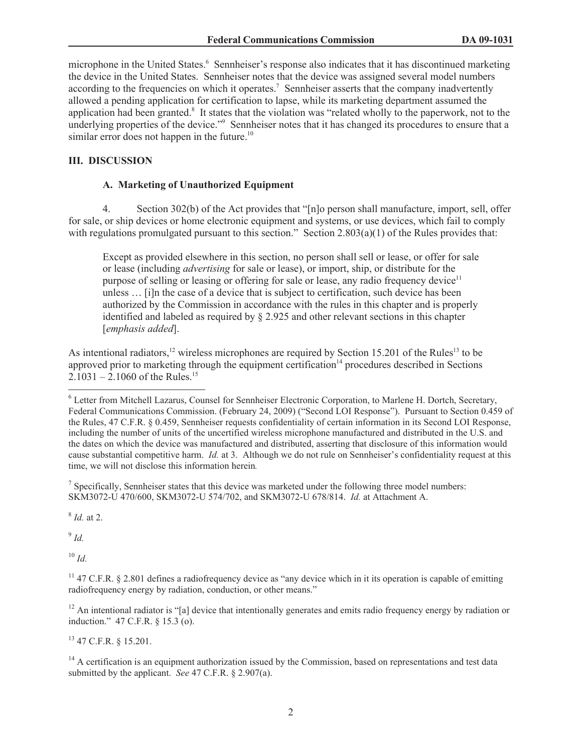microphone in the United States.<sup>6</sup> Sennheiser's response also indicates that it has discontinued marketing the device in the United States. Sennheiser notes that the device was assigned several model numbers according to the frequencies on which it operates.<sup>7</sup> Sennheiser asserts that the company inadvertently allowed a pending application for certification to lapse, while its marketing department assumed the application had been granted.<sup>8</sup> It states that the violation was "related wholly to the paperwork, not to the underlying properties of the device."<sup>9</sup> Sennheiser notes that it has changed its procedures to ensure that a similar error does not happen in the future.<sup>10</sup>

## **III. DISCUSSION**

#### **A. Marketing of Unauthorized Equipment**

4. Section 302(b) of the Act provides that "[n]o person shall manufacture, import, sell, offer for sale, or ship devices or home electronic equipment and systems, or use devices, which fail to comply with regulations promulgated pursuant to this section." Section 2.803(a)(1) of the Rules provides that:

Except as provided elsewhere in this section, no person shall sell or lease, or offer for sale or lease (including *advertising* for sale or lease), or import, ship, or distribute for the purpose of selling or leasing or offering for sale or lease, any radio frequency device<sup>11</sup> unless … [i]n the case of a device that is subject to certification, such device has been authorized by the Commission in accordance with the rules in this chapter and is properly identified and labeled as required by  $\S 2.925$  and other relevant sections in this chapter [*emphasis added*].

As intentional radiators,<sup>12</sup> wireless microphones are required by Section 15.201 of the Rules<sup>13</sup> to be approved prior to marketing through the equipment certification<sup>14</sup> procedures described in Sections  $2.1031 - 2.1060$  of the Rules.<sup>15</sup>

 $<sup>7</sup>$  Specifically, Sennheiser states that this device was marketed under the following three model numbers:</sup> SKM3072-U 470/600, SKM3072-U 574/702, and SKM3072-U 678/814. *Id.* at Attachment A.

8 *Id.* at 2.

9 *Id.*

 $10 \; Id.$ 

 $12$  An intentional radiator is "[a] device that intentionally generates and emits radio frequency energy by radiation or induction." 47 C.F.R. § 15.3 (o).

<sup>13</sup> 47 C.F.R. § 15.201.

<sup>14</sup> A certification is an equipment authorization issued by the Commission, based on representations and test data submitted by the applicant. *See* 47 C.F.R. § 2.907(a).

<sup>6</sup> Letter from Mitchell Lazarus, Counsel for Sennheiser Electronic Corporation, to Marlene H. Dortch, Secretary, Federal Communications Commission. (February 24, 2009) ("Second LOI Response"). Pursuant to Section 0.459 of the Rules, 47 C.F.R. § 0.459, Sennheiser requests confidentiality of certain information in its Second LOI Response, including the number of units of the uncertified wireless microphone manufactured and distributed in the U.S. and the dates on which the device was manufactured and distributed, asserting that disclosure of this information would cause substantial competitive harm. *Id.* at 3. Although we do not rule on Sennheiser's confidentiality request at this time, we will not disclose this information herein*.*

<sup>&</sup>lt;sup>11</sup> 47 C.F.R. § 2.801 defines a radiofrequency device as "any device which in it its operation is capable of emitting radiofrequency energy by radiation, conduction, or other means."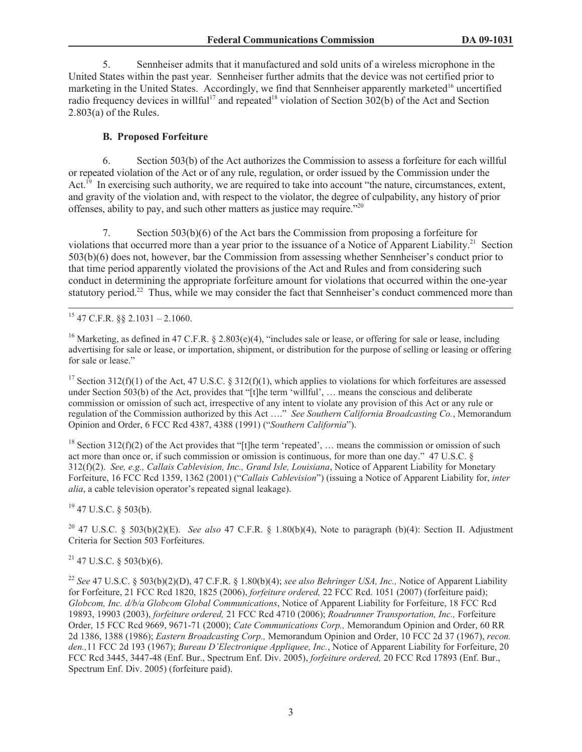5. Sennheiser admits that it manufactured and sold units of a wireless microphone in the United States within the past year. Sennheiser further admits that the device was not certified prior to marketing in the United States. Accordingly, we find that Sennheiser apparently marketed<sup>16</sup> uncertified radio frequency devices in willful<sup>17</sup> and repeated<sup>18</sup> violation of Section  $302(b)$  of the Act and Section 2.803(a) of the Rules.

## **B. Proposed Forfeiture**

6. Section 503(b) of the Act authorizes the Commission to assess a forfeiture for each willful or repeated violation of the Act or of any rule, regulation, or order issued by the Commission under the Act.<sup>19</sup> In exercising such authority, we are required to take into account "the nature, circumstances, extent, and gravity of the violation and, with respect to the violator, the degree of culpability, any history of prior offenses, ability to pay, and such other matters as justice may require."<sup>20</sup>

7. Section 503(b)(6) of the Act bars the Commission from proposing a forfeiture for violations that occurred more than a year prior to the issuance of a Notice of Apparent Liability.<sup>21</sup> Section 503(b)(6) does not, however, bar the Commission from assessing whether Sennheiser's conduct prior to that time period apparently violated the provisions of the Act and Rules and from considering such conduct in determining the appropriate forfeiture amount for violations that occurred within the one-year statutory period.<sup>22</sup> Thus, while we may consider the fact that Sennheiser's conduct commenced more than

<sup>17</sup> Section 312(f)(1) of the Act, 47 U.S.C. § 312(f)(1), which applies to violations for which forfeitures are assessed under Section 503(b) of the Act, provides that "[t]he term 'willful', ... means the conscious and deliberate commission or omission of such act, irrespective of any intent to violate any provision of this Act or any rule or regulation of the Commission authorized by this Act …." *See Southern California Broadcasting Co.*, Memorandum Opinion and Order, 6 FCC Rcd 4387, 4388 (1991) ("*Southern California*").

<sup>18</sup> Section 312(f)(2) of the Act provides that "[t]he term 'repeated', ... means the commission or omission of such act more than once or, if such commission or omission is continuous, for more than one day." 47 U.S.C. § 312(f)(2). *See, e.g., Callais Cablevision, Inc., Grand Isle, Louisiana*, Notice of Apparent Liability for Monetary Forfeiture, 16 FCC Rcd 1359, 1362 (2001) ("*Callais Cablevision*") (issuing a Notice of Apparent Liability for, *inter alia*, a cable television operator's repeated signal leakage).

 $19$  47 U.S.C. § 503(b).

<sup>20</sup> 47 U.S.C. § 503(b)(2)(E). *See also* 47 C.F.R. § 1.80(b)(4), Note to paragraph (b)(4): Section II. Adjustment Criteria for Section 503 Forfeitures.

### $^{21}$  47 U.S.C. § 503(b)(6).

<sup>22</sup> *See* 47 U.S.C. § 503(b)(2)(D), 47 C.F.R. § 1.80(b)(4); *see also Behringer USA, Inc.,* Notice of Apparent Liability for Forfeiture, 21 FCC Rcd 1820, 1825 (2006), *forfeiture ordered,* 22 FCC Rcd. 1051 (2007) (forfeiture paid); *Globcom, Inc. d/b/a Globcom Global Communications*, Notice of Apparent Liability for Forfeiture, 18 FCC Rcd 19893, 19903 (2003), *forfeiture ordered,* 21 FCC Rcd 4710 (2006); *Roadrunner Transportation, Inc.,* Forfeiture Order, 15 FCC Rcd 9669, 9671-71 (2000); *Cate Communications Corp.,* Memorandum Opinion and Order, 60 RR 2d 1386, 1388 (1986); *Eastern Broadcasting Corp.,* Memorandum Opinion and Order, 10 FCC 2d 37 (1967), *recon. den.,*11 FCC 2d 193 (1967); *Bureau D'Electronique Appliquee, Inc.*, Notice of Apparent Liability for Forfeiture, 20 FCC Rcd 3445, 3447-48 (Enf. Bur., Spectrum Enf. Div. 2005), *forfeiture ordered,* 20 FCC Rcd 17893 (Enf. Bur., Spectrum Enf. Div. 2005) (forfeiture paid).

 $15$  47 C.F.R. §§ 2.1031 – 2.1060.

<sup>&</sup>lt;sup>16</sup> Marketing, as defined in 47 C.F.R. § 2.803(e)(4), "includes sale or lease, or offering for sale or lease, including advertising for sale or lease, or importation, shipment, or distribution for the purpose of selling or leasing or offering for sale or lease."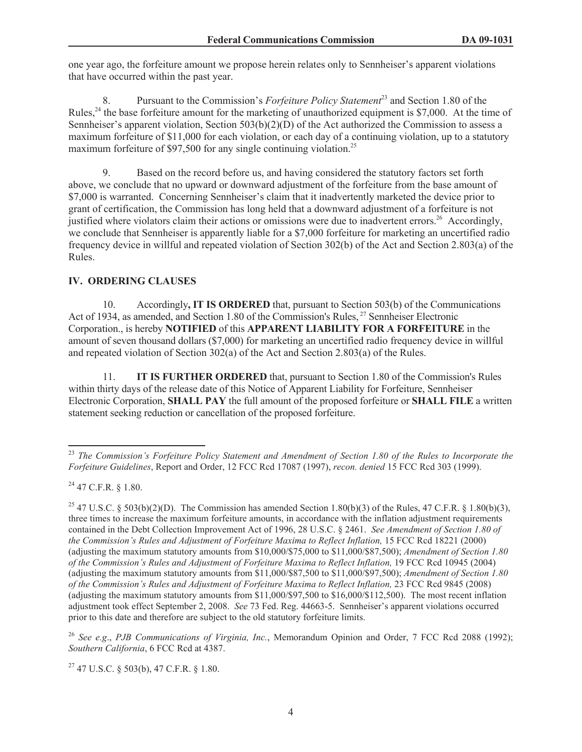one year ago, the forfeiture amount we propose herein relates only to Sennheiser's apparent violations that have occurred within the past year.

8. Pursuant to the Commission's *Forfeiture Policy Statement*<sup>23</sup> and Section 1.80 of the Rules,<sup>24</sup> the base forfeiture amount for the marketing of unauthorized equipment is \$7,000. At the time of Sennheiser's apparent violation, Section  $503(b)(2)(D)$  of the Act authorized the Commission to assess a maximum forfeiture of \$11,000 for each violation, or each day of a continuing violation, up to a statutory maximum forfeiture of \$97,500 for any single continuing violation.<sup>25</sup>

9. Based on the record before us, and having considered the statutory factors set forth above, we conclude that no upward or downward adjustment of the forfeiture from the base amount of \$7,000 is warranted. Concerning Sennheiser's claim that it inadvertently marketed the device prior to grant of certification, the Commission has long held that a downward adjustment of a forfeiture is not justified where violators claim their actions or omissions were due to inadvertent errors.<sup>26</sup> Accordingly, we conclude that Sennheiser is apparently liable for a \$7,000 forfeiture for marketing an uncertified radio frequency device in willful and repeated violation of Section 302(b) of the Act and Section 2.803(a) of the Rules.

## **IV. ORDERING CLAUSES**

10. Accordingly**, IT IS ORDERED** that, pursuant to Section 503(b) of the Communications Act of 1934, as amended, and Section 1.80 of the Commission's Rules, <sup>27</sup> Sennheiser Electronic Corporation., is hereby **NOTIFIED** of this **APPARENT LIABILITY FOR A FORFEITURE** in the amount of seven thousand dollars (\$7,000) for marketing an uncertified radio frequency device in willful and repeated violation of Section 302(a) of the Act and Section 2.803(a) of the Rules.

11. **IT IS FURTHER ORDERED** that, pursuant to Section 1.80 of the Commission's Rules within thirty days of the release date of this Notice of Apparent Liability for Forfeiture, Sennheiser Electronic Corporation, **SHALL PAY** the full amount of the proposed forfeiture or **SHALL FILE** a written statement seeking reduction or cancellation of the proposed forfeiture.

<sup>23</sup> *The Commission's Forfeiture Policy Statement and Amendment of Section 1.80 of the Rules to Incorporate the Forfeiture Guidelines*, Report and Order, 12 FCC Rcd 17087 (1997), *recon. denied* 15 FCC Rcd 303 (1999).

 $^{24}$  47 C.F.R. § 1.80.

<sup>&</sup>lt;sup>25</sup> 47 U.S.C. § 503(b)(2)(D). The Commission has amended Section 1.80(b)(3) of the Rules, 47 C.F.R. § 1.80(b)(3), three times to increase the maximum forfeiture amounts, in accordance with the inflation adjustment requirements contained in the Debt Collection Improvement Act of 1996, 28 U.S.C. § 2461. *See Amendment of Section 1.80 of the Commission's Rules and Adjustment of Forfeiture Maxima to Reflect Inflation, 15 FCC Rcd 18221 (2000)* (adjusting the maximum statutory amounts from \$10,000/\$75,000 to \$11,000/\$87,500); *Amendment of Section 1.80 of the Commission's Rules and Adjustment of Forfeiture Maxima to Reflect Inflation,* 19 FCC Rcd 10945 (2004) (adjusting the maximum statutory amounts from \$11,000/\$87,500 to \$11,000/\$97,500); *Amendment of Section 1.80 of the Commission's Rules and Adjustment of Forfeiture Maxima to Reflect Inflation,* 23 FCC Rcd 9845 (2008) (adjusting the maximum statutory amounts from \$11,000/\$97,500 to \$16,000/\$112,500). The most recent inflation adjustment took effect September 2, 2008. *See* 73 Fed. Reg. 44663-5. Sennheiser's apparent violations occurred prior to this date and therefore are subject to the old statutory forfeiture limits.

<sup>26</sup> *See e.g*., *PJB Communications of Virginia, Inc.*, Memorandum Opinion and Order, 7 FCC Rcd 2088 (1992); *Southern California*, 6 FCC Rcd at 4387.

 $27$  47 U.S.C. § 503(b), 47 C.F.R. § 1.80.